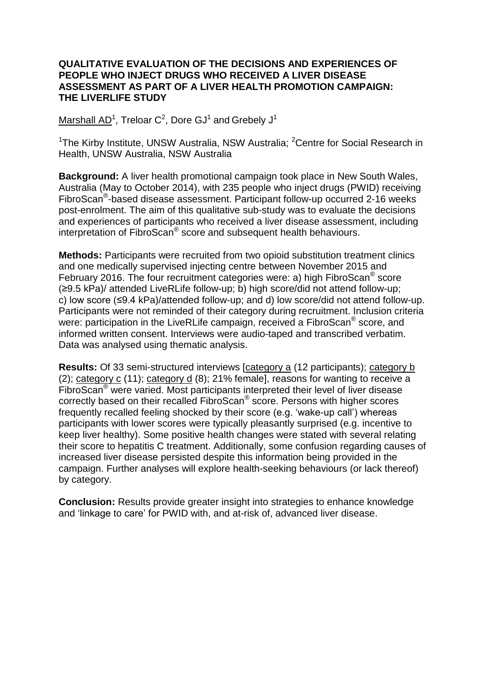## **QUALITATIVE EVALUATION OF THE DECISIONS AND EXPERIENCES OF PEOPLE WHO INJECT DRUGS WHO RECEIVED A LIVER DISEASE ASSESSMENT AS PART OF A LIVER HEALTH PROMOTION CAMPAIGN: THE LIVERLIFE STUDY**

Marshall AD<sup>1</sup>, Treloar C<sup>2</sup>, Dore GJ<sup>1</sup> and Grebely J<sup>1</sup>

<sup>1</sup>The Kirby Institute, UNSW Australia, NSW Australia; <sup>2</sup>Centre for Social Research in Health, UNSW Australia, NSW Australia

**Background:** A liver health promotional campaign took place in New South Wales, Australia (May to October 2014), with 235 people who inject drugs (PWID) receiving FibroScan<sup>®</sup>-based disease assessment. Participant follow-up occurred 2-16 weeks post-enrolment. The aim of this qualitative sub-study was to evaluate the decisions and experiences of participants who received a liver disease assessment, including interpretation of FibroScan® score and subsequent health behaviours.

**Methods:** Participants were recruited from two opioid substitution treatment clinics and one medically supervised injecting centre between November 2015 and February 2016. The four recruitment categories were: a) high FibroScan® score (≥9.5 kPa)/ attended LiveRLife follow-up; b) high score/did not attend follow-up; c) low score (≤9.4 kPa)/attended follow-up; and d) low score/did not attend follow-up. Participants were not reminded of their category during recruitment. Inclusion criteria were: participation in the LiveRLife campaign, received a FibroScan® score, and informed written consent. Interviews were audio-taped and transcribed verbatim. Data was analysed using thematic analysis.

**Results:** Of 33 semi-structured interviews [category a (12 participants); category b (2); category c (11); category d (8); 21% female], reasons for wanting to receive a FibroScan® were varied. Most participants interpreted their level of liver disease correctly based on their recalled FibroScan® score. Persons with higher scores frequently recalled feeling shocked by their score (e.g. 'wake-up call') whereas participants with lower scores were typically pleasantly surprised (e.g. incentive to keep liver healthy). Some positive health changes were stated with several relating their score to hepatitis C treatment. Additionally, some confusion regarding causes of increased liver disease persisted despite this information being provided in the campaign. Further analyses will explore health-seeking behaviours (or lack thereof) by category.

**Conclusion:** Results provide greater insight into strategies to enhance knowledge and 'linkage to care' for PWID with, and at-risk of, advanced liver disease.